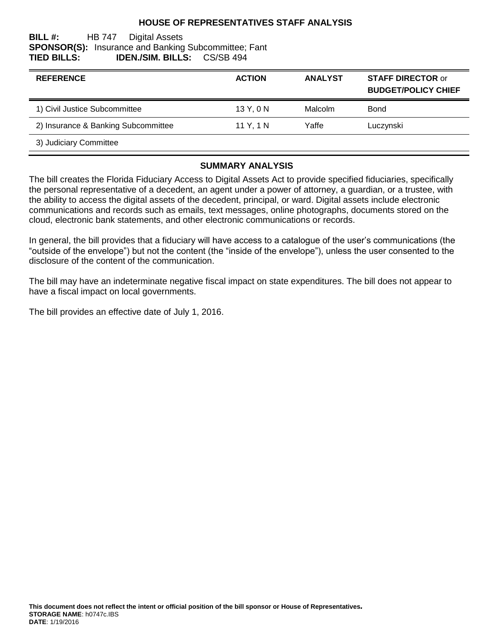#### **HOUSE OF REPRESENTATIVES STAFF ANALYSIS**

#### **BILL #:** HB 747 Digital Assets **SPONSOR(S):** Insurance and Banking Subcommittee; Fant **TIED BILLS: IDEN./SIM. BILLS:** CS/SB 494

| <b>REFERENCE</b>                    | <b>ACTION</b> | <b>ANALYST</b> | <b>STAFF DIRECTOR or</b><br><b>BUDGET/POLICY CHIEF</b> |
|-------------------------------------|---------------|----------------|--------------------------------------------------------|
| 1) Civil Justice Subcommittee       | 13 Y, 0 N     | Malcolm        | Bond                                                   |
| 2) Insurance & Banking Subcommittee | 11 Y, 1 N     | Yaffe          | Luczynski                                              |
| 3) Judiciary Committee              |               |                |                                                        |

#### **SUMMARY ANALYSIS**

The bill creates the Florida Fiduciary Access to Digital Assets Act to provide specified fiduciaries, specifically the personal representative of a decedent, an agent under a power of attorney, a guardian, or a trustee, with the ability to access the digital assets of the decedent, principal, or ward. Digital assets include electronic communications and records such as emails, text messages, online photographs, documents stored on the cloud, electronic bank statements, and other electronic communications or records.

In general, the bill provides that a fiduciary will have access to a catalogue of the user's communications (the "outside of the envelope") but not the content (the "inside of the envelope"), unless the user consented to the disclosure of the content of the communication.

The bill may have an indeterminate negative fiscal impact on state expenditures. The bill does not appear to have a fiscal impact on local governments.

The bill provides an effective date of July 1, 2016.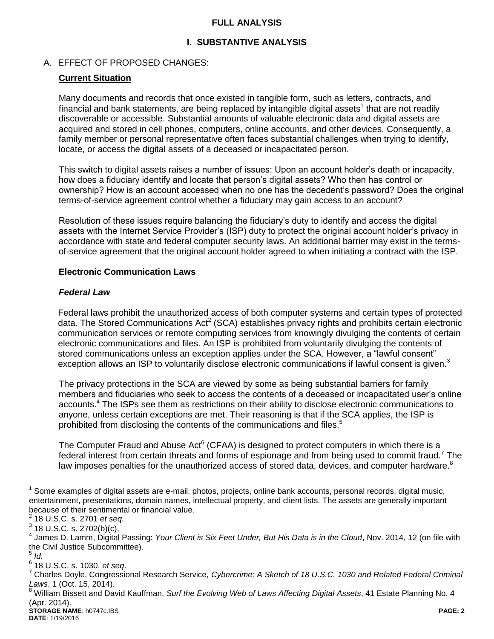#### **FULL ANALYSIS**

### **I. SUBSTANTIVE ANALYSIS**

#### A. EFFECT OF PROPOSED CHANGES:

#### **Current Situation**

Many documents and records that once existed in tangible form, such as letters, contracts, and financial and bank statements, are being replaced by intangible digital assets<sup>1</sup> that are not readily discoverable or accessible. Substantial amounts of valuable electronic data and digital assets are acquired and stored in cell phones, computers, online accounts, and other devices. Consequently, a family member or personal representative often faces substantial challenges when trying to identify, locate, or access the digital assets of a deceased or incapacitated person.

This switch to digital assets raises a number of issues: Upon an account holder's death or incapacity, how does a fiduciary identify and locate that person's digital assets? Who then has control or ownership? How is an account accessed when no one has the decedent's password? Does the original terms-of-service agreement control whether a fiduciary may gain access to an account?

Resolution of these issues require balancing the fiduciary's duty to identify and access the digital assets with the Internet Service Provider's (ISP) duty to protect the original account holder's privacy in accordance with state and federal computer security laws. An additional barrier may exist in the termsof-service agreement that the original account holder agreed to when initiating a contract with the ISP.

#### **Electronic Communication Laws**

#### *Federal Law*

Federal laws prohibit the unauthorized access of both computer systems and certain types of protected data. The Stored Communications Act<sup>2</sup> (SCA) establishes privacy rights and prohibits certain electronic communication services or remote computing services from knowingly divulging the contents of certain electronic communications and files. An ISP is prohibited from voluntarily divulging the contents of stored communications unless an exception applies under the SCA. However, a "lawful consent" exception allows an ISP to voluntarily disclose electronic communications if lawful consent is given.<sup>3</sup>

The privacy protections in the SCA are viewed by some as being substantial barriers for family members and fiduciaries who seek to access the contents of a deceased or incapacitated user's online accounts.<sup>4</sup> The ISPs see them as restrictions on their ability to disclose electronic communications to anyone, unless certain exceptions are met. Their reasoning is that if the SCA applies, the ISP is prohibited from disclosing the contents of the communications and files.<sup>5</sup>

The Computer Fraud and Abuse Act<sup>6</sup> (CFAA) is designed to protect computers in which there is a federal interest from certain threats and forms of espionage and from being used to commit fraud.<sup>7</sup> The law imposes penalties for the unauthorized access of stored data, devices, and computer hardware.<sup>8</sup>

 $\overline{a}$ 

<sup>1</sup> Some examples of digital assets are e-mail, photos, projects, online bank accounts, personal records, digital music, entertainment, presentations, domain names, intellectual property, and client lists. The assets are generally important because of their sentimental or financial value.

<sup>2</sup> 18 U.S.C. s. 2701 *et seq.*

 $^3$  18 U.S.C. s. 2702(b)(c).

<sup>4</sup> James D. Lamm, Digital Passing: *Your Client is Six Feet Under, But His Data is in the Cloud*, Nov. 2014, 12 (on file with the Civil Justice Subcommittee).

<sup>5</sup> *Id.*

<sup>6</sup> 18 U.S.C. s. 1030, *et seq*.

<sup>7</sup> Charles Doyle, Congressional Research Service, *Cybercrime: A Sketch of 18 U.S.C. 1030 and Related Federal Criminal Laws*, 1 (Oct. 15, 2014).

**STORAGE NAME**: h0747c.IBS **PAGE: 2** <sup>8</sup> William Bissett and David Kauffman, *Surf the Evolving Web of Laws Affecting Digital Assets*, 41 Estate Planning No. 4 (Apr. 2014).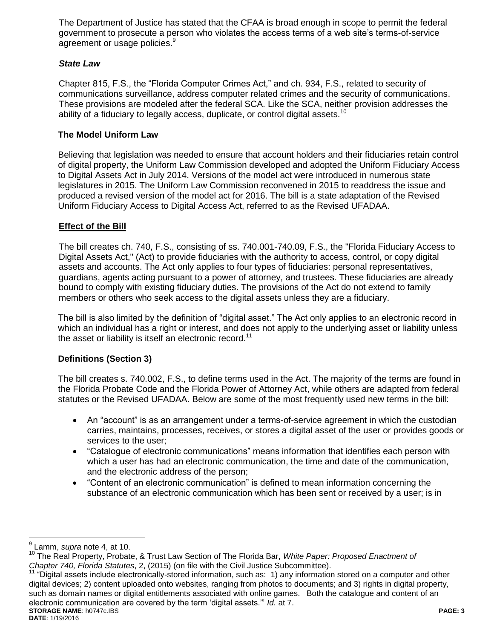The Department of Justice has stated that the CFAA is broad enough in scope to permit the federal government to prosecute a person who violates the access terms of a web site's terms-of-service agreement or usage policies.<sup>9</sup>

### *State Law*

Chapter 815, F.S., the "Florida Computer Crimes Act," and ch. 934, F.S., related to security of communications surveillance, address computer related crimes and the security of communications. These provisions are modeled after the federal SCA. Like the SCA, neither provision addresses the ability of a fiduciary to legally access, duplicate, or control digital assets.<sup>10</sup>

### **The Model Uniform Law**

Believing that legislation was needed to ensure that account holders and their fiduciaries retain control of digital property, the Uniform Law Commission developed and adopted the Uniform Fiduciary Access to Digital Assets Act in July 2014. Versions of the model act were introduced in numerous state legislatures in 2015. The Uniform Law Commission reconvened in 2015 to readdress the issue and produced a revised version of the model act for 2016. The bill is a state adaptation of the Revised Uniform Fiduciary Access to Digital Access Act, referred to as the Revised UFADAA.

### **Effect of the Bill**

The bill creates ch. 740, F.S., consisting of ss. 740.001-740.09, F.S., the "Florida Fiduciary Access to Digital Assets Act," (Act) to provide fiduciaries with the authority to access, control, or copy digital assets and accounts. The Act only applies to four types of fiduciaries: personal representatives, guardians, agents acting pursuant to a power of attorney, and trustees. These fiduciaries are already bound to comply with existing fiduciary duties. The provisions of the Act do not extend to family members or others who seek access to the digital assets unless they are a fiduciary.

The bill is also limited by the definition of "digital asset." The Act only applies to an electronic record in which an individual has a right or interest, and does not apply to the underlying asset or liability unless the asset or liability is itself an electronic record.<sup>11</sup>

#### **Definitions (Section 3)**

The bill creates s. 740.002, F.S., to define terms used in the Act. The majority of the terms are found in the Florida Probate Code and the Florida Power of Attorney Act, while others are adapted from federal statutes or the Revised UFADAA. Below are some of the most frequently used new terms in the bill:

- An "account" is as an arrangement under a terms-of-service agreement in which the custodian carries, maintains, processes, receives, or stores a digital asset of the user or provides goods or services to the user;
- "Catalogue of electronic communications" means information that identifies each person with which a user has had an electronic communication, the time and date of the communication, and the electronic address of the person;
- "Content of an electronic communication" is defined to mean information concerning the substance of an electronic communication which has been sent or received by a user; is in

 $\overline{a}$ 9 Lamm, *supra* note 4, at 10.

<sup>10</sup> The Real Property, Probate, & Trust Law Section of The Florida Bar, *White Paper: Proposed Enactment of Chapter 740, Florida Statutes*, 2, (2015) (on file with the Civil Justice Subcommittee).

**STORAGE NAME**: h0747c.IBS **PAGE: 3**  $11$  "Digital assets include electronically-stored information, such as: 1) any information stored on a computer and other digital devices; 2) content uploaded onto websites, ranging from photos to documents; and 3) rights in digital property, such as domain names or digital entitlements associated with online games. Both the catalogue and content of an electronic communication are covered by the term 'digital assets.'" *Id.* at 7.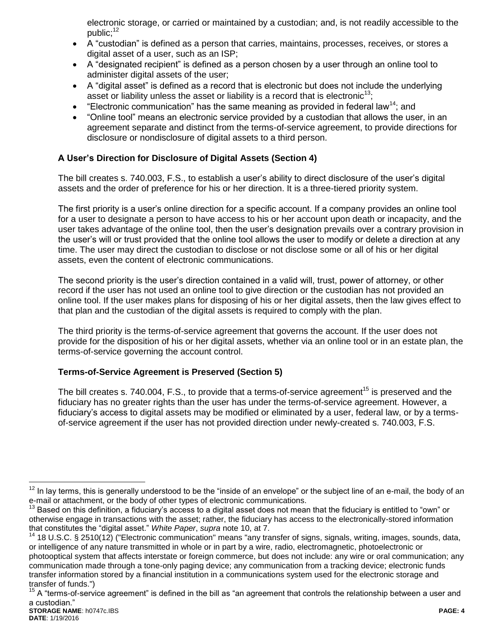electronic storage, or carried or maintained by a custodian; and, is not readily accessible to the public;<sup>12</sup>

- A "custodian" is defined as a person that carries, maintains, processes, receives, or stores a digital asset of a user, such as an ISP;
- A "designated recipient" is defined as a person chosen by a user through an online tool to administer digital assets of the user;
- A "digital asset" is defined as a record that is electronic but does not include the underlying asset or liability unless the asset or liability is a record that is electronic<sup>13</sup>;
- **•** "Electronic communication" has the same meaning as provided in federal law<sup>14</sup>; and
- "Online tool" means an electronic service provided by a custodian that allows the user, in an agreement separate and distinct from the terms-of-service agreement, to provide directions for disclosure or nondisclosure of digital assets to a third person.

# **A User's Direction for Disclosure of Digital Assets (Section 4)**

The bill creates s. 740.003, F.S., to establish a user's ability to direct disclosure of the user's digital assets and the order of preference for his or her direction. It is a three-tiered priority system.

The first priority is a user's online direction for a specific account. If a company provides an online tool for a user to designate a person to have access to his or her account upon death or incapacity, and the user takes advantage of the online tool, then the user's designation prevails over a contrary provision in the user's will or trust provided that the online tool allows the user to modify or delete a direction at any time. The user may direct the custodian to disclose or not disclose some or all of his or her digital assets, even the content of electronic communications.

The second priority is the user's direction contained in a valid will, trust, power of attorney, or other record if the user has not used an online tool to give direction or the custodian has not provided an online tool. If the user makes plans for disposing of his or her digital assets, then the law gives effect to that plan and the custodian of the digital assets is required to comply with the plan.

The third priority is the terms-of-service agreement that governs the account. If the user does not provide for the disposition of his or her digital assets, whether via an online tool or in an estate plan, the terms-of-service governing the account control.

# **Terms-of-Service Agreement is Preserved (Section 5)**

The bill creates s. 740.004, F.S., to provide that a terms-of-service agreement<sup>15</sup> is preserved and the fiduciary has no greater rights than the user has under the terms-of-service agreement. However, a fiduciary's access to digital assets may be modified or eliminated by a user, federal law, or by a termsof-service agreement if the user has not provided direction under newly-created s. 740.003, F.S.

 $\overline{a}$ 

<sup>&</sup>lt;sup>12</sup> In lay terms, this is generally understood to be the "inside of an envelope" or the subject line of an e-mail, the body of an e-mail or attachment, or the body of other types of electronic communications.

<sup>&</sup>lt;sup>13</sup> Based on this definition, a fiduciary's access to a digital asset does not mean that the fiduciary is entitled to "own" or otherwise engage in transactions with the asset; rather, the fiduciary has access to the electronically-stored information that constitutes the "digital asset." *White Paper*, *supra* note 10, at 7.

<sup>&</sup>lt;sup>14</sup> 18 U.S.C. § 2510(12) ("Electronic communication" means "any transfer of signs, signals, writing, images, sounds, data, or intelligence of any nature transmitted in whole or in part by a wire, radio, electromagnetic, photoelectronic or photooptical system that affects interstate or foreign commerce, but does not include: any wire or oral communication; any communication made through a tone-only paging device; any communication from a tracking device; electronic funds transfer information stored by a financial institution in a communications system used for the electronic storage and transfer of funds.")

**STORAGE NAME**: h0747c.IBS **PAGE: 4** <sup>15</sup> A "terms-of-service agreement" is defined in the bill as "an agreement that controls the relationship between a user and a custodian."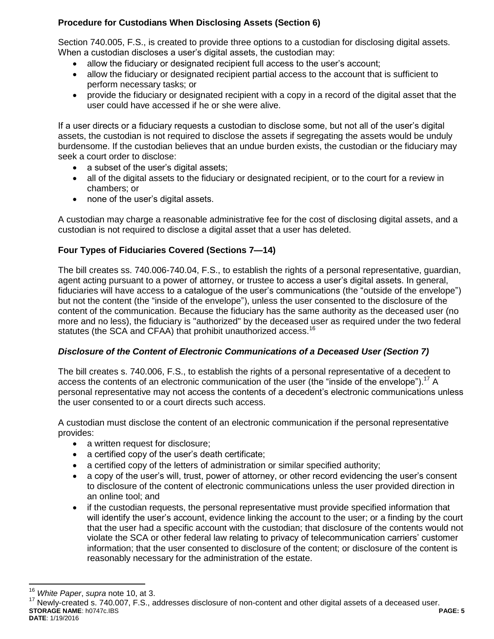# **Procedure for Custodians When Disclosing Assets (Section 6)**

Section 740.005, F.S., is created to provide three options to a custodian for disclosing digital assets. When a custodian discloses a user's digital assets, the custodian may:

- allow the fiduciary or designated recipient full access to the user's account;
- allow the fiduciary or designated recipient partial access to the account that is sufficient to perform necessary tasks; or
- provide the fiduciary or designated recipient with a copy in a record of the digital asset that the user could have accessed if he or she were alive.

If a user directs or a fiduciary requests a custodian to disclose some, but not all of the user's digital assets, the custodian is not required to disclose the assets if segregating the assets would be unduly burdensome. If the custodian believes that an undue burden exists, the custodian or the fiduciary may seek a court order to disclose:

- a subset of the user's digital assets;
- all of the digital assets to the fiduciary or designated recipient, or to the court for a review in chambers; or
- none of the user's digital assets.

A custodian may charge a reasonable administrative fee for the cost of disclosing digital assets, and a custodian is not required to disclose a digital asset that a user has deleted.

# **Four Types of Fiduciaries Covered (Sections 7—14)**

The bill creates ss. 740.006-740.04, F.S., to establish the rights of a personal representative, guardian, agent acting pursuant to a power of attorney, or trustee to access a user's digital assets. In general, fiduciaries will have access to a catalogue of the user's communications (the "outside of the envelope") but not the content (the "inside of the envelope"), unless the user consented to the disclosure of the content of the communication. Because the fiduciary has the same authority as the deceased user (no more and no less), the fiduciary is "authorized" by the deceased user as required under the two federal statutes (the SCA and CFAA) that prohibit unauthorized access.<sup>16</sup>

# *Disclosure of the Content of Electronic Communications of a Deceased User (Section 7)*

The bill creates s. 740.006, F.S., to establish the rights of a personal representative of a decedent to access the contents of an electronic communication of the user (the "inside of the envelope").<sup>17</sup> A personal representative may not access the contents of a decedent's electronic communications unless the user consented to or a court directs such access.

A custodian must disclose the content of an electronic communication if the personal representative provides:

- a written request for disclosure;
- a certified copy of the user's death certificate;
- a certified copy of the letters of administration or similar specified authority;
- a copy of the user's will, trust, power of attorney, or other record evidencing the user's consent to disclosure of the content of electronic communications unless the user provided direction in an online tool; and
- if the custodian requests, the personal representative must provide specified information that will identify the user's account, evidence linking the account to the user; or a finding by the court that the user had a specific account with the custodian; that disclosure of the contents would not violate the SCA or other federal law relating to privacy of telecommunication carriers' customer information; that the user consented to disclosure of the content; or disclosure of the content is reasonably necessary for the administration of the estate.

 $\overline{a}$ 

<sup>16</sup> *White Paper*, *supra* note 10, at 3.

**STORAGE NAME**: h0747c.IBS **PAGE: 5 DATE**: 1/19/2016  $17$  Newly-created s. 740.007, F.S., addresses disclosure of non-content and other digital assets of a deceased user.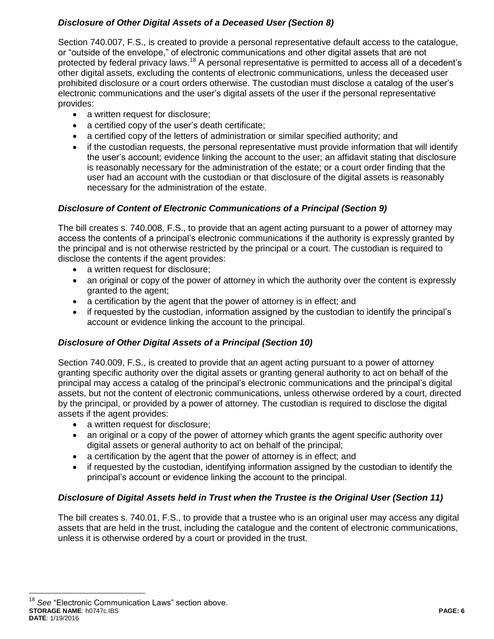# *Disclosure of Other Digital Assets of a Deceased User (Section 8)*

Section 740.007, F.S., is created to provide a personal representative default access to the catalogue, or "outside of the envelope," of electronic communications and other digital assets that are not protected by federal privacy laws.<sup>18</sup> A personal representative is permitted to access all of a decedent's other digital assets, excluding the contents of electronic communications, unless the deceased user prohibited disclosure or a court orders otherwise. The custodian must disclose a catalog of the user's electronic communications and the user's digital assets of the user if the personal representative provides:

- a written request for disclosure;
- a certified copy of the user's death certificate;
- a certified copy of the letters of administration or similar specified authority; and
- if the custodian requests, the personal representative must provide information that will identify the user's account; evidence linking the account to the user; an affidavit stating that disclosure is reasonably necessary for the administration of the estate; or a court order finding that the user had an account with the custodian or that disclosure of the digital assets is reasonably necessary for the administration of the estate.

# *Disclosure of Content of Electronic Communications of a Principal (Section 9)*

The bill creates s. 740.008, F.S., to provide that an agent acting pursuant to a power of attorney may access the contents of a principal's electronic communications if the authority is expressly granted by the principal and is not otherwise restricted by the principal or a court. The custodian is required to disclose the contents if the agent provides:

- a written request for disclosure;
- an original or copy of the power of attorney in which the authority over the content is expressly granted to the agent;
- a certification by the agent that the power of attorney is in effect; and
- if requested by the custodian, information assigned by the custodian to identify the principal's account or evidence linking the account to the principal.

# *Disclosure of Other Digital Assets of a Principal (Section 10)*

Section 740.009, F.S., is created to provide that an agent acting pursuant to a power of attorney granting specific authority over the digital assets or granting general authority to act on behalf of the principal may access a catalog of the principal's electronic communications and the principal's digital assets, but not the content of electronic communications, unless otherwise ordered by a court, directed by the principal, or provided by a power of attorney. The custodian is required to disclose the digital assets if the agent provides:

- a written request for disclosure;
- an original or a copy of the power of attorney which grants the agent specific authority over digital assets or general authority to act on behalf of the principal;
- a certification by the agent that the power of attorney is in effect; and
- if requested by the custodian, identifying information assigned by the custodian to identify the principal's account or evidence linking the account to the principal.

# *Disclosure of Digital Assets held in Trust when the Trustee is the Original User (Section 11)*

The bill creates s. 740.01, F.S., to provide that a trustee who is an original user may access any digital assets that are held in the trust, including the catalogue and the content of electronic communications, unless it is otherwise ordered by a court or provided in the trust.

**STORAGE NAME**: h0747c.IBS **PAGE: 6 DATE**: 1/19/2016  $\overline{a}$ <sup>18</sup> See "Electronic Communication Laws" section above.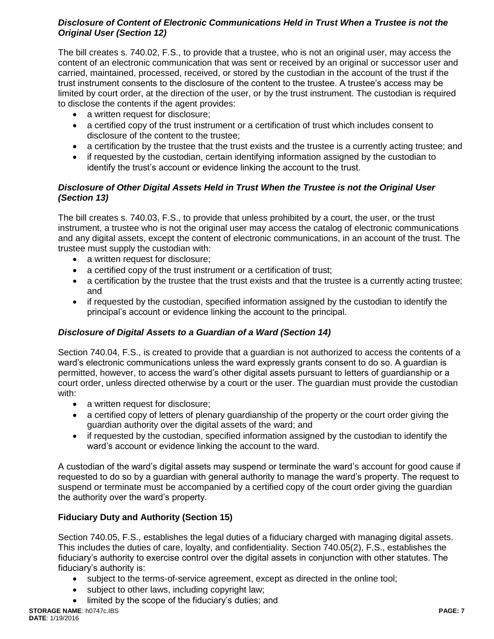# *Disclosure of Content of Electronic Communications Held in Trust When a Trustee is not the Original User (Section 12)*

The bill creates s. 740.02, F.S., to provide that a trustee, who is not an original user, may access the content of an electronic communication that was sent or received by an original or successor user and carried, maintained, processed, received, or stored by the custodian in the account of the trust if the trust instrument consents to the disclosure of the content to the trustee. A trustee's access may be limited by court order, at the direction of the user, or by the trust instrument. The custodian is required to disclose the contents if the agent provides:

- a written request for disclosure;
- a certified copy of the trust instrument or a certification of trust which includes consent to disclosure of the content to the trustee;
- a certification by the trustee that the trust exists and the trustee is a currently acting trustee; and
- if requested by the custodian, certain identifying information assigned by the custodian to identify the trust's account or evidence linking the account to the trust.

# *Disclosure of Other Digital Assets Held in Trust When the Trustee is not the Original User (Section 13)*

The bill creates s. 740.03, F.S., to provide that unless prohibited by a court, the user, or the trust instrument, a trustee who is not the original user may access the catalog of electronic communications and any digital assets, except the content of electronic communications, in an account of the trust. The trustee must supply the custodian with:

- a written request for disclosure;
- a certified copy of the trust instrument or a certification of trust;
- a certification by the trustee that the trust exists and that the trustee is a currently acting trustee; and
- if requested by the custodian, specified information assigned by the custodian to identify the principal's account or evidence linking the account to the principal.

# *Disclosure of Digital Assets to a Guardian of a Ward (Section 14)*

Section 740.04, F.S., is created to provide that a guardian is not authorized to access the contents of a ward's electronic communications unless the ward expressly grants consent to do so. A guardian is permitted, however, to access the ward's other digital assets pursuant to letters of guardianship or a court order, unless directed otherwise by a court or the user. The guardian must provide the custodian with:

- a written request for disclosure;
- a certified copy of letters of plenary guardianship of the property or the court order giving the guardian authority over the digital assets of the ward; and
- if requested by the custodian, specified information assigned by the custodian to identify the ward's account or evidence linking the account to the ward.

A custodian of the ward's digital assets may suspend or terminate the ward's account for good cause if requested to do so by a guardian with general authority to manage the ward's property. The request to suspend or terminate must be accompanied by a certified copy of the court order giving the guardian the authority over the ward's property.

# **Fiduciary Duty and Authority (Section 15)**

Section 740.05, F.S., establishes the legal duties of a fiduciary charged with managing digital assets. This includes the duties of care, loyalty, and confidentiality. Section 740.05(2), F.S., establishes the fiduciary's authority to exercise control over the digital assets in conjunction with other statutes. The fiduciary's authority is:

- subject to the terms-of-service agreement, except as directed in the online tool;
- subject to other laws, including copyright law;
- limited by the scope of the fiduciary's duties; and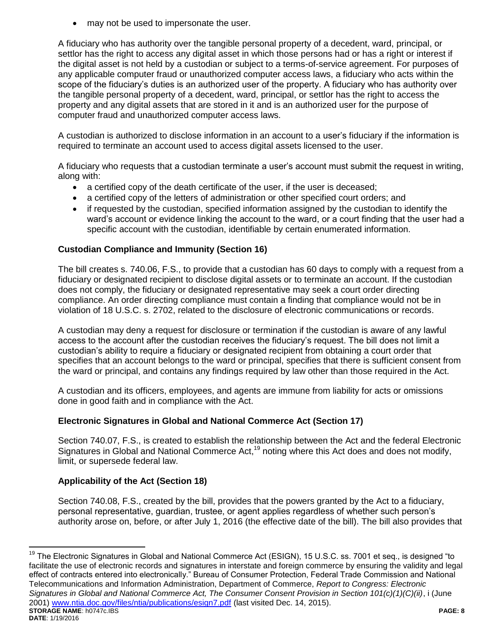may not be used to impersonate the user.

A fiduciary who has authority over the tangible personal property of a decedent, ward, principal, or settlor has the right to access any digital asset in which those persons had or has a right or interest if the digital asset is not held by a custodian or subject to a terms-of-service agreement. For purposes of any applicable computer fraud or unauthorized computer access laws, a fiduciary who acts within the scope of the fiduciary's duties is an authorized user of the property. A fiduciary who has authority over the tangible personal property of a decedent, ward, principal, or settlor has the right to access the property and any digital assets that are stored in it and is an authorized user for the purpose of computer fraud and unauthorized computer access laws.

A custodian is authorized to disclose information in an account to a user's fiduciary if the information is required to terminate an account used to access digital assets licensed to the user.

A fiduciary who requests that a custodian terminate a user's account must submit the request in writing, along with:

- a certified copy of the death certificate of the user, if the user is deceased;
- a certified copy of the letters of administration or other specified court orders; and
- if requested by the custodian, specified information assigned by the custodian to identify the ward's account or evidence linking the account to the ward, or a court finding that the user had a specific account with the custodian, identifiable by certain enumerated information.

### **Custodian Compliance and Immunity (Section 16)**

The bill creates s. 740.06, F.S., to provide that a custodian has 60 days to comply with a request from a fiduciary or designated recipient to disclose digital assets or to terminate an account. If the custodian does not comply, the fiduciary or designated representative may seek a court order directing compliance. An order directing compliance must contain a finding that compliance would not be in violation of 18 U.S.C. s. 2702, related to the disclosure of electronic communications or records.

A custodian may deny a request for disclosure or termination if the custodian is aware of any lawful access to the account after the custodian receives the fiduciary's request. The bill does not limit a custodian's ability to require a fiduciary or designated recipient from obtaining a court order that specifies that an account belongs to the ward or principal, specifies that there is sufficient consent from the ward or principal, and contains any findings required by law other than those required in the Act.

A custodian and its officers, employees, and agents are immune from liability for acts or omissions done in good faith and in compliance with the Act.

#### **Electronic Signatures in Global and National Commerce Act (Section 17)**

Section 740.07, F.S., is created to establish the relationship between the Act and the federal Electronic Signatures in Global and National Commerce Act,<sup>19</sup> noting where this Act does and does not modify, limit, or supersede federal law.

# **Applicability of the Act (Section 18)**

 $\overline{a}$ 

Section 740.08, F.S., created by the bill, provides that the powers granted by the Act to a fiduciary, personal representative, guardian, trustee, or agent applies regardless of whether such person's authority arose on, before, or after July 1, 2016 (the effective date of the bill). The bill also provides that

**STORAGE NAME**: h0747c.IBS **PAGE: 8 DATE**: 1/19/2016 <sup>19</sup> The Electronic Signatures in Global and National Commerce Act (ESIGN), 15 U.S.C. ss. 7001 et seq., is designed "to facilitate the use of electronic records and signatures in interstate and foreign commerce by ensuring the validity and legal effect of contracts entered into electronically." Bureau of Consumer Protection, Federal Trade Commission and National Telecommunications and Information Administration, Department of Commerce, *Report to Congress: Electronic Signatures in Global and National Commerce Act, The Consumer Consent Provision in Section 101(c)(1)(C)(ii)*, i (June 2001) [www.ntia.doc.gov/files/ntia/publications/esign7.pdf](http://www.ntia.doc.gov/files/ntia/publications/esign7.pdf) (last visited Dec. 14, 2015).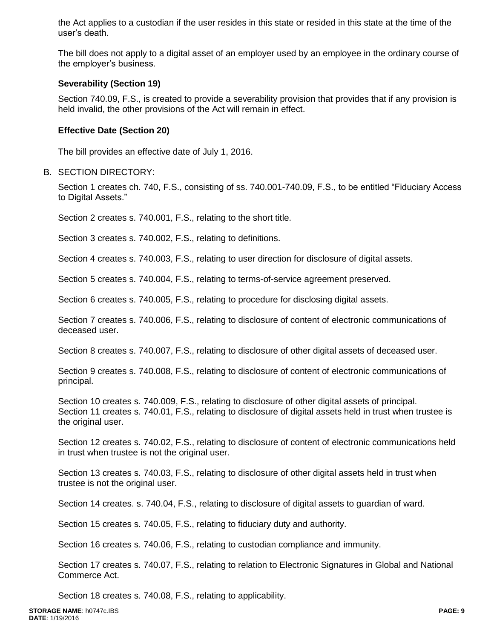the Act applies to a custodian if the user resides in this state or resided in this state at the time of the user's death.

The bill does not apply to a digital asset of an employer used by an employee in the ordinary course of the employer's business.

#### **Severability (Section 19)**

Section 740.09, F.S., is created to provide a severability provision that provides that if any provision is held invalid, the other provisions of the Act will remain in effect.

#### **Effective Date (Section 20)**

The bill provides an effective date of July 1, 2016.

#### B. SECTION DIRECTORY:

Section 1 creates ch. 740, F.S., consisting of ss. 740.001-740.09, F.S., to be entitled "Fiduciary Access to Digital Assets."

Section 2 creates s. 740.001, F.S., relating to the short title.

Section 3 creates s. 740.002, F.S., relating to definitions.

Section 4 creates s. 740.003, F.S., relating to user direction for disclosure of digital assets.

Section 5 creates s. 740.004, F.S., relating to terms-of-service agreement preserved.

Section 6 creates s. 740.005, F.S., relating to procedure for disclosing digital assets.

Section 7 creates s. 740.006, F.S., relating to disclosure of content of electronic communications of deceased user.

Section 8 creates s. 740.007, F.S., relating to disclosure of other digital assets of deceased user.

Section 9 creates s. 740.008, F.S., relating to disclosure of content of electronic communications of principal.

Section 10 creates s. 740.009, F.S., relating to disclosure of other digital assets of principal. Section 11 creates s. 740.01, F.S., relating to disclosure of digital assets held in trust when trustee is the original user.

Section 12 creates s. 740.02, F.S., relating to disclosure of content of electronic communications held in trust when trustee is not the original user.

Section 13 creates s. 740.03, F.S., relating to disclosure of other digital assets held in trust when trustee is not the original user.

Section 14 creates. s. 740.04, F.S., relating to disclosure of digital assets to guardian of ward.

Section 15 creates s. 740.05, F.S., relating to fiduciary duty and authority.

Section 16 creates s. 740.06, F.S., relating to custodian compliance and immunity.

Section 17 creates s. 740.07, F.S., relating to relation to Electronic Signatures in Global and National Commerce Act.

Section 18 creates s. 740.08, F.S., relating to applicability.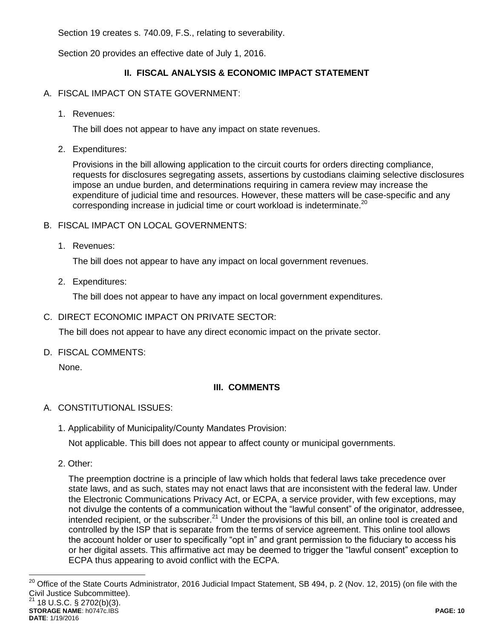Section 19 creates s. 740.09, F.S., relating to severability.

Section 20 provides an effective date of July 1, 2016.

# **II. FISCAL ANALYSIS & ECONOMIC IMPACT STATEMENT**

### A. FISCAL IMPACT ON STATE GOVERNMENT:

1. Revenues:

The bill does not appear to have any impact on state revenues.

2. Expenditures:

Provisions in the bill allowing application to the circuit courts for orders directing compliance, requests for disclosures segregating assets, assertions by custodians claiming selective disclosures impose an undue burden, and determinations requiring in camera review may increase the expenditure of judicial time and resources. However, these matters will be case-specific and any corresponding increase in judicial time or court workload is indeterminate.<sup>20</sup>

- B. FISCAL IMPACT ON LOCAL GOVERNMENTS:
	- 1. Revenues:

The bill does not appear to have any impact on local government revenues.

2. Expenditures:

The bill does not appear to have any impact on local government expenditures.

C. DIRECT ECONOMIC IMPACT ON PRIVATE SECTOR:

The bill does not appear to have any direct economic impact on the private sector.

D. FISCAL COMMENTS:

None.

# **III. COMMENTS**

# A. CONSTITUTIONAL ISSUES:

1. Applicability of Municipality/County Mandates Provision:

Not applicable. This bill does not appear to affect county or municipal governments.

2. Other:

The preemption doctrine is a principle of law which holds that federal laws take precedence over state laws, and as such, states may not enact laws that are inconsistent with the federal law. Under the Electronic Communications Privacy Act, or ECPA, a service provider, with few exceptions, may not divulge the contents of a communication without the "lawful consent" of the originator, addressee, intended recipient, or the subscriber.<sup>21</sup> Under the provisions of this bill, an online tool is created and controlled by the ISP that is separate from the terms of service agreement. This online tool allows the account holder or user to specifically "opt in" and grant permission to the fiduciary to access his or her digital assets. This affirmative act may be deemed to trigger the "lawful consent" exception to ECPA thus appearing to avoid conflict with the ECPA.

**STORAGE NAME**: h0747c.IBS **PAGE: 10 DATE**: 1/19/2016 20 <sup>20</sup> Office of the State Courts Administrator, 2016 Judicial Impact Statement, SB 494, p. 2 (Nov. 12, 2015) (on file with the Civil Justice Subcommittee). 18 U.S.C. § 2702(b)(3).